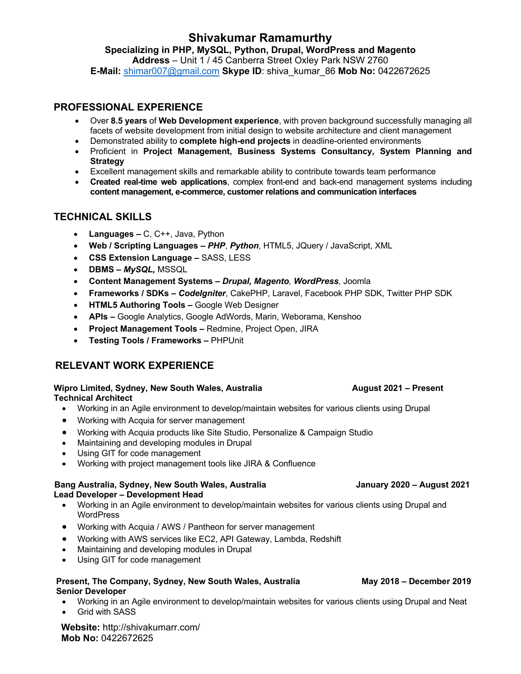# **Shivakumar Ramamurthy**

### **Specializing in PHP, MySQL, Python, Drupal, WordPress and Magento**

**Address** – Unit 1 / 45 Canberra Street Oxley Park NSW 2760 **E-Mail:** shimar007@gmail.com **Skype ID**: shiva\_kumar\_86 **Mob No:** 0422672625

### **PROFESSIONAL EXPERIENCE**

- Over **8.5 years** of **Web Development experience**, with proven background successfully managing all facets of website development from initial design to website architecture and client management
- Demonstrated ability to **complete high-end projects** in deadline-oriented environments
- Proficient in **Project Management, Business Systems Consultancy, System Planning and Strategy**
- Excellent management skills and remarkable ability to contribute towards team performance
- **Created real-time web applications**, complex front-end and back-end management systems including **content management, e-commerce, customer relations and communication interfaces**

# **TECHNICAL SKILLS**

- **Languages –** C, C++, Java, Python
- **Web / Scripting Languages –** *PHP*, *Python*, HTML5, JQuery / JavaScript, XML
- **CSS Extension Language –** SASS, LESS
- **DBMS –** *MySQL,* MSSQL
- **Content Management Systems –** *Drupal, Magento, WordPress,* Joomla
- **Frameworks / SDKs –** *CodeIgniter*, CakePHP, Laravel, Facebook PHP SDK, Twitter PHP SDK
- **HTML5 Authoring Tools –** Google Web Designer
- **APIs –** Google Analytics, Google AdWords, Marin, Weborama, Kenshoo
- **Project Management Tools –** Redmine, Project Open, JIRA
- **Testing Tools / Frameworks –** PHPUnit

# **RELEVANT WORK EXPERIENCE**

#### **Wipro Limited, Sydney, New South Wales, Australia August 2021 – Present Technical Architect**

- Working in an Agile environment to develop/maintain websites for various clients using Drupal
- Working with Acquia for server management
- Working with Acquia products like Site Studio, Personalize & Campaign Studio
- Maintaining and developing modules in Drupal
- Using GIT for code management
- Working with project management tools like JIRA & Confluence

#### **Bang Australia, Sydney, New South Wales, Australia January 2020 – August 2021 Lead Developer – Development Head**

- Working in an Agile environment to develop/maintain websites for various clients using Drupal and **WordPress**
- Working with Acquia / AWS / Pantheon for server management
- Working with AWS services like EC2, API Gateway, Lambda, Redshift
- Maintaining and developing modules in Drupal
- Using GIT for code management

#### **Present, The Company, Sydney, New South Wales, Australia May 2018 – December 2019 Senior Developer**

- Working in an Agile environment to develop/maintain websites for various clients using Drupal and Neat
- Grid with SASS

**Website:** http://shivakumarr.com/ **Mob No:** 0422672625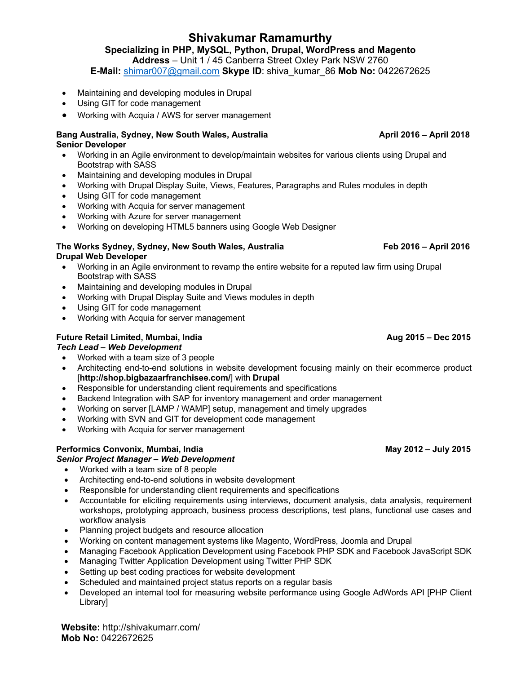# **Shivakumar Ramamurthy**

# **Specializing in PHP, MySQL, Python, Drupal, WordPress and Magento**

**Address** – Unit 1 / 45 Canberra Street Oxley Park NSW 2760

**E-Mail:** shimar007@gmail.com **Skype ID**: shiva\_kumar\_86 **Mob No:** 0422672625

- Maintaining and developing modules in Drupal
- Using GIT for code management
- Working with Acquia / AWS for server management

#### **Bang Australia, Sydney, New South Wales, Australia April 2016 – April 2018 Senior Developer**

- Working in an Agile environment to develop/maintain websites for various clients using Drupal and Bootstrap with SASS
- Maintaining and developing modules in Drupal
- Working with Drupal Display Suite, Views, Features, Paragraphs and Rules modules in depth
- Using GIT for code management
- Working with Acquia for server management
- Working with Azure for server management
- Working on developing HTML5 banners using Google Web Designer

#### **The Works Sydney, Sydney, New South Wales, Australia Feb 2016 – April 2016 Drupal Web Developer**

- Working in an Agile environment to revamp the entire website for a reputed law firm using Drupal Bootstrap with SASS
- Maintaining and developing modules in Drupal
- Working with Drupal Display Suite and Views modules in depth
- Using GIT for code management
- Working with Acquia for server management

## **Future Retail Limited, Mumbai, India Aug 2015 – Dec 2015**

### *Tech Lead – Web Development*

- Worked with a team size of 3 people
- Architecting end-to-end solutions in website development focusing mainly on their ecommerce product [**http://shop.bigbazaarfranchisee.com/**] with **Drupal**
- Responsible for understanding client requirements and specifications
- Backend Integration with SAP for inventory management and order management
- Working on server [LAMP / WAMP] setup, management and timely upgrades
- Working with SVN and GIT for development code management
- Working with Acquia for server management

### **Performics Convonix, Mumbai, India May 2012 – July 2015**

### *Senior Project Manager – Web Development*

- Worked with a team size of 8 people
- Architecting end-to-end solutions in website development
- Responsible for understanding client requirements and specifications
- Accountable for eliciting requirements using interviews, document analysis, data analysis, requirement workshops, prototyping approach, business process descriptions, test plans, functional use cases and workflow analysis
- Planning project budgets and resource allocation
- Working on content management systems like Magento, WordPress, Joomla and Drupal
- Managing Facebook Application Development using Facebook PHP SDK and Facebook JavaScript SDK
- Managing Twitter Application Development using Twitter PHP SDK
- Setting up best coding practices for website development
- Scheduled and maintained project status reports on a regular basis
- Developed an internal tool for measuring website performance using Google AdWords API [PHP Client Library]

**Website:** http://shivakumarr.com/ **Mob No:** 0422672625